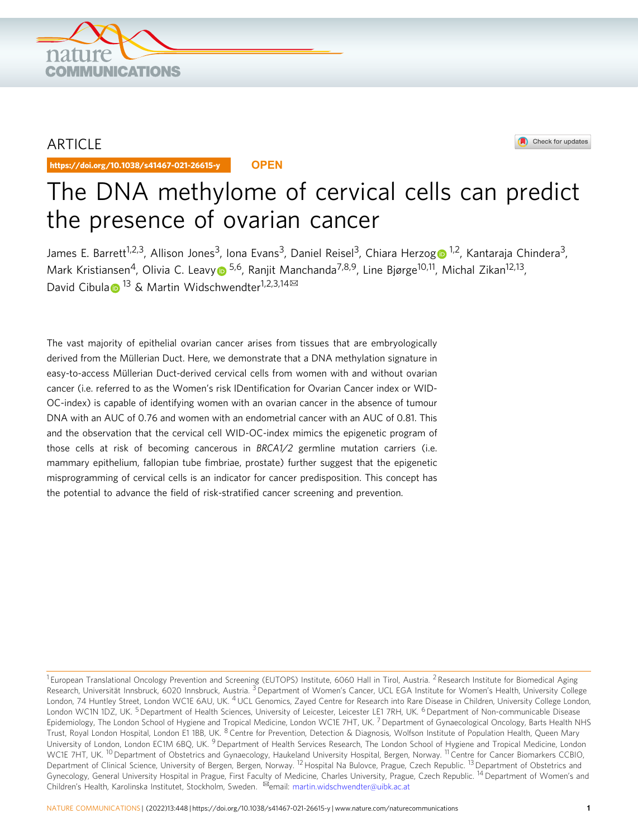

## ARTICLE

https://doi.org/10.1038/s41467-021-26615-y **OPEN**



# The DNA methylome of cervical cells can predict the presence of ovarian cancer

James E. Barrett<sup>1,2,3</sup>, Allison Jones<sup>3</sup>, Iona Evans<sup>3</sup>, Daniel Reisel<sup>3</sup>, Chiara Herzo[g](http://orcid.org/0000-0002-1572-498X) D<sup>[1](http://orcid.org/0000-0002-1572-498X),2</sup>, Kantaraja Chindera<sup>3</sup>, Mark Kristiansen<sup>4</sup>, Olivia C. Leav[y](http://orcid.org/0000-0002-1503-5535) <sup>5,6</sup>, Ranjit Manchanda<sup>7,8,9</sup>, Line Bjørge<sup>10,11</sup>, Michal Zikan<sup>12,13</sup>, D[a](http://orcid.org/0000-0001-6387-9356)vid Cibula ■ <sup>[1](http://orcid.org/0000-0001-6387-9356)3</sup> & Martin Widschwendter<sup>1,2,3,14 ⊠</sup>

The vast majority of epithelial ovarian cancer arises from tissues that are embryologically derived from the Müllerian Duct. Here, we demonstrate that a DNA methylation signature in easy-to-access Müllerian Duct-derived cervical cells from women with and without ovarian cancer (i.e. referred to as the Women's risk IDentification for Ovarian Cancer index or WID-OC-index) is capable of identifying women with an ovarian cancer in the absence of tumour DNA with an AUC of 0.76 and women with an endometrial cancer with an AUC of 0.81. This and the observation that the cervical cell WID-OC-index mimics the epigenetic program of those cells at risk of becoming cancerous in BRCA1/2 germline mutation carriers (i.e. mammary epithelium, fallopian tube fimbriae, prostate) further suggest that the epigenetic misprogramming of cervical cells is an indicator for cancer predisposition. This concept has the potential to advance the field of risk-stratified cancer screening and prevention.

<sup>&</sup>lt;sup>1</sup> European Translational Oncology Prevention and Screening (EUTOPS) Institute, 6060 Hall in Tirol, Austria. <sup>2</sup> Research Institute for Biomedical Aging Research, Universität Innsbruck, 6020 Innsbruck, Austria. <sup>3</sup> Department of Women's Cancer, UCL EGA Institute for Women's Health, University College London, 74 Huntley Street, London WC1E 6AU, UK. <sup>4</sup> UCL Genomics, Zayed Centre for Research into Rare Disease in Children, University College London, London WC1N 1DZ, UK.<sup>5</sup> Department of Health Sciences, University of Leicester, Leicester LE1 7RH, UK. <sup>6</sup> Department of Non-communicable Disease Epidemiology, The London School of Hygiene and Tropical Medicine, London WC1E 7HT, UK.<sup>7</sup> Department of Gynaecological Oncology, Barts Health NHS Trust, Royal London Hospital, London E1 1BB, UK. <sup>8</sup> Centre for Prevention, Detection & Diagnosis, Wolfson Institute of Population Health, Queen Mary University of London, London EC1M 6BQ, UK. <sup>9</sup> Department of Health Services Research, The London School of Hygiene and Tropical Medicine, London WC1E 7HT, UK. <sup>10</sup> Department of Obstetrics and Gynaecology, Haukeland University Hospital, Bergen, Norway. <sup>11</sup> Centre for Cancer Biomarkers CCBIO, Department of Clinical Science, University of Bergen, Bergen, Norway. <sup>12</sup> Hospital Na Bulovce, Prague, Czech Republic. <sup>13</sup> Department of Obstetrics and Gynecology, General University Hospital in Prague, First Faculty of Medicine, Charles University, Prague, Czech Republic. <sup>14</sup> Department of Women's and Children's Health, Karolinska Institutet, Stockholm, Sweden. <sup>⊠</sup>email: [martin.widschwendter@uibk.ac.at](mailto:martin.widschwendter@uibk.ac.at)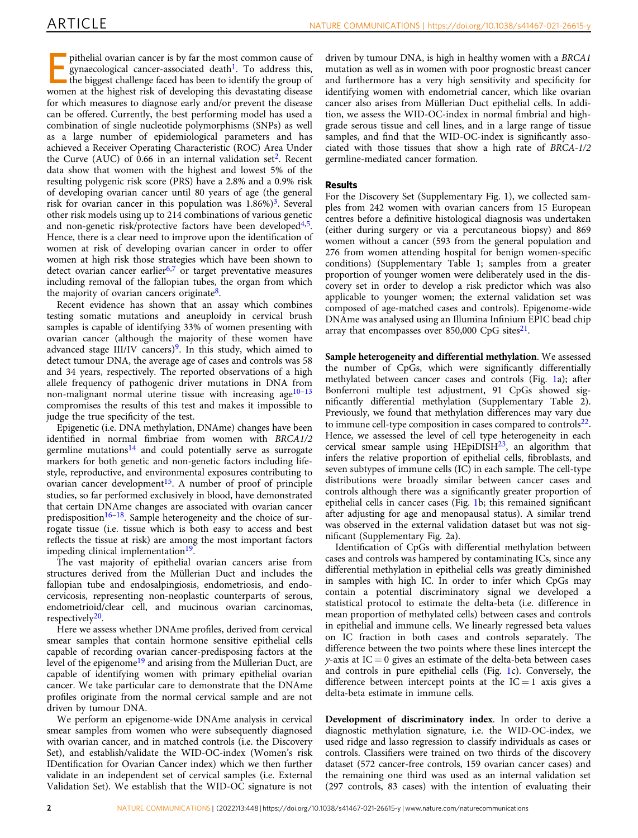pithelial ovarian cancer is by far the most common cause of gynaecological cancer-associated death<sup>[1](#page-10-0)</sup>. To address this, the biggest challenge faced has been to identify the group of women at the highest risk of developing this devastating disease for which measures to diagnose early and/or prevent the disease can be offered. Currently, the best performing model has used a combination of single nucleotide polymorphisms (SNPs) as well as a large number of epidemiological parameters and has achieved a Receiver Operating Characteristic (ROC) Area Under the Curve (AUC) of 0.66 in an internal validation set<sup>[2](#page-10-0)</sup>. Recent data show that women with the highest and lowest 5% of the resulting polygenic risk score (PRS) have a 2.8% and a 0.9% risk of developing ovarian cancer until 80 years of age (the general risk for ovarian cancer in this population was  $1.86\%)^3$  $1.86\%)^3$ . Several other risk models using up to 214 combinations of various genetic and non-genetic risk/protective factors have been developed<sup>[4](#page-10-0),5</sup>. Hence, there is a clear need to improve upon the identification of women at risk of developing ovarian cancer in order to offer women at high risk those strategies which have been shown to detect ovarian cancer earlier $6,7$  or target preventative measures including removal of the fallopian tubes, the organ from which the majority of ovarian cancers originate $8$ .

Recent evidence has shown that an assay which combines testing somatic mutations and aneuploidy in cervical brush samples is capable of identifying 33% of women presenting with ovarian cancer (although the majority of these women have advanced stage III/IV cancers)<sup>[9](#page-10-0)</sup>. In this study, which aimed to detect tumour DNA, the average age of cases and controls was 58 and 34 years, respectively. The reported observations of a high allele frequency of pathogenic driver mutations in DNA from non-malignant normal uterine tissue with increasing age $10-13$  $10-13$  $10-13$ compromises the results of this test and makes it impossible to judge the true specificity of the test.

Epigenetic (i.e. DNA methylation, DNAme) changes have been identified in normal fimbriae from women with BRCA1/2 germline mutations<sup>[14](#page-10-0)</sup> and could potentially serve as surrogate markers for both genetic and non-genetic factors including lifestyle, reproductive, and environmental exposures contributing to ovarian cancer development<sup>[15](#page-10-0)</sup>. A number of proof of principle studies, so far performed exclusively in blood, have demonstrated that certain DNAme changes are associated with ovarian cancer predisposition<sup>[16](#page-10-0)–18</sup>. Sample heterogeneity and the choice of surrogate tissue (i.e. tissue which is both easy to access and best reflects the tissue at risk) are among the most important factors impeding clinical implementation $19$ .

The vast majority of epithelial ovarian cancers arise from structures derived from the Müllerian Duct and includes the fallopian tube and endosalpingiosis, endometriosis, and endocervicosis, representing non-neoplastic counterparts of serous, endometrioid/clear cell, and mucinous ovarian carcinomas, respectively $20$ .

Here we assess whether DNAme profiles, derived from cervical smear samples that contain hormone sensitive epithelial cells capable of recording ovarian cancer-predisposing factors at the level of the epigenome<sup>19</sup> and arising from the Müllerian Duct, are capable of identifying women with primary epithelial ovarian cancer. We take particular care to demonstrate that the DNAme profiles originate from the normal cervical sample and are not driven by tumour DNA.

We perform an epigenome-wide DNAme analysis in cervical smear samples from women who were subsequently diagnosed with ovarian cancer, and in matched controls (i.e. the Discovery Set), and establish/validate the WID-OC-index (Women's risk IDentification for Ovarian Cancer index) which we then further validate in an independent set of cervical samples (i.e. External Validation Set). We establish that the WID-OC signature is not

driven by tumour DNA, is high in healthy women with a BRCA1 mutation as well as in women with poor prognostic breast cancer and furthermore has a very high sensitivity and specificity for identifying women with endometrial cancer, which like ovarian cancer also arises from Müllerian Duct epithelial cells. In addition, we assess the WID-OC-index in normal fimbrial and highgrade serous tissue and cell lines, and in a large range of tissue samples, and find that the WID-OC-index is significantly associated with those tissues that show a high rate of BRCA-1/2 germline-mediated cancer formation.

### Results

For the Discovery Set (Supplementary Fig. 1), we collected samples from 242 women with ovarian cancers from 15 European centres before a definitive histological diagnosis was undertaken (either during surgery or via a percutaneous biopsy) and 869 women without a cancer (593 from the general population and 276 from women attending hospital for benign women-specific conditions) (Supplementary Table 1; samples from a greater proportion of younger women were deliberately used in the discovery set in order to develop a risk predictor which was also applicable to younger women; the external validation set was composed of age-matched cases and controls). Epigenome-wide DNAme was analysed using an Illumina Infinium EPIC bead chip array that encompasses over 850,000 CpG sites $^{21}$ .

Sample heterogeneity and differential methylation. We assessed the number of CpGs, which were significantly differentially methylated between cancer cases and controls (Fig. [1](#page-2-0)a); after Bonferroni multiple test adjustment, 91 CpGs showed significantly differential methylation (Supplementary Table 2). Previously, we found that methylation differences may vary due to immune cell-type composition in cases compared to controls $22$ . Hence, we assessed the level of cell type heterogeneity in each cervical smear sample using  $HEpiDISH<sup>23</sup>$  $HEpiDISH<sup>23</sup>$  $HEpiDISH<sup>23</sup>$ , an algorithm that infers the relative proportion of epithelial cells, fibroblasts, and seven subtypes of immune cells (IC) in each sample. The cell-type distributions were broadly similar between cancer cases and controls although there was a significantly greater proportion of epithelial cells in cancer cases (Fig. [1b](#page-2-0); this remained significant after adjusting for age and menopausal status). A similar trend was observed in the external validation dataset but was not significant (Supplementary Fig. 2a).

Identification of CpGs with differential methylation between cases and controls was hampered by contaminating ICs, since any differential methylation in epithelial cells was greatly diminished in samples with high IC. In order to infer which CpGs may contain a potential discriminatory signal we developed a statistical protocol to estimate the delta-beta (i.e. difference in mean proportion of methylated cells) between cases and controls in epithelial and immune cells. We linearly regressed beta values on IC fraction in both cases and controls separately. The difference between the two points where these lines intercept the  $y$ -axis at IC = 0 gives an estimate of the delta-beta between cases and controls in pure epithelial cells (Fig. [1](#page-2-0)c). Conversely, the difference between intercept points at the  $IC = 1$  axis gives a delta-beta estimate in immune cells.

Development of discriminatory index. In order to derive a diagnostic methylation signature, i.e. the WID-OC-index, we used ridge and lasso regression to classify individuals as cases or controls. Classifiers were trained on two thirds of the discovery dataset (572 cancer-free controls, 159 ovarian cancer cases) and the remaining one third was used as an internal validation set (297 controls, 83 cases) with the intention of evaluating their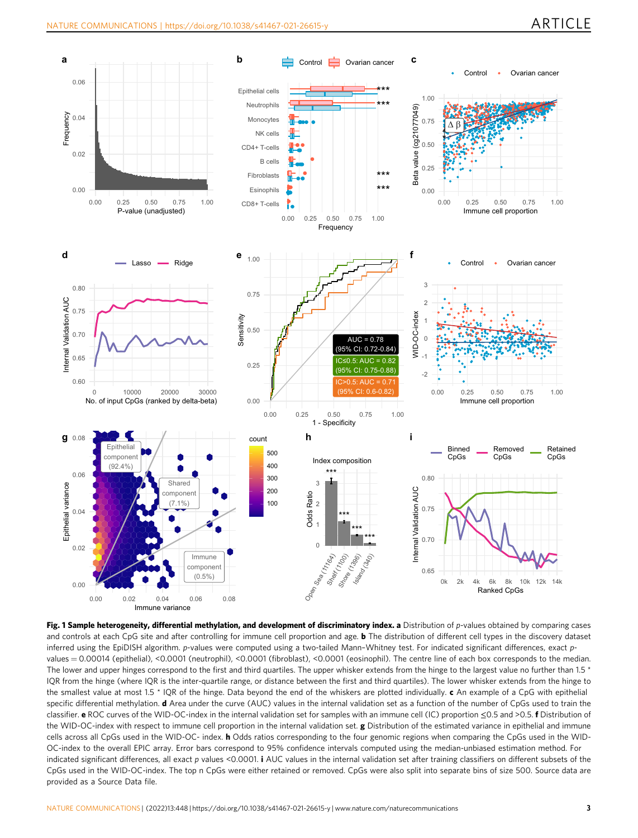<span id="page-2-0"></span>

Fig. 1 Sample heterogeneity, differential methylation, and development of discriminatory index. a Distribution of p-values obtained by comparing cases and controls at each CpG site and after controlling for immune cell proportion and age. **b** The distribution of different cell types in the discovery dataset inferred using the EpiDISH algorithm. p-values were computed using a two-tailed Mann–Whitney test. For indicated significant differences, exact pvalues = 0.00014 (epithelial), <0.0001 (neutrophil), <0.0001 (fibroblast), <0.0001 (eosinophil). The centre line of each box corresponds to the median. The lower and upper hinges correspond to the first and third quartiles. The upper whisker extends from the hinge to the largest value no further than 1.5 \* IQR from the hinge (where IQR is the inter-quartile range, or distance between the first and third quartiles). The lower whisker extends from the hinge to the smallest value at most 1.5 \* IQR of the hinge. Data beyond the end of the whiskers are plotted individually. c An example of a CpG with epithelial specific differential methylation. d Area under the curve (AUC) values in the internal validation set as a function of the number of CpGs used to train the classifier. e ROC curves of the WID-OC-index in the internal validation set for samples with an immune cell (IC) proportion ≤0.5 and >0.5. f Distribution of the WID-OC-index with respect to immune cell proportion in the internal validation set. g Distribution of the estimated variance in epithelial and immune cells across all CpGs used in the WID-OC- index. **h** Odds ratios corresponding to the four genomic regions when comparing the CpGs used in the WID-OC-index to the overall EPIC array. Error bars correspond to 95% confidence intervals computed using the median-unbiased estimation method. For indicated significant differences, all exact p values <0.0001. *i* AUC values in the internal validation set after training classifiers on different subsets of the CpGs used in the WID-OC-index. The top n CpGs were either retained or removed. CpGs were also split into separate bins of size 500. Source data are provided as a Source Data file.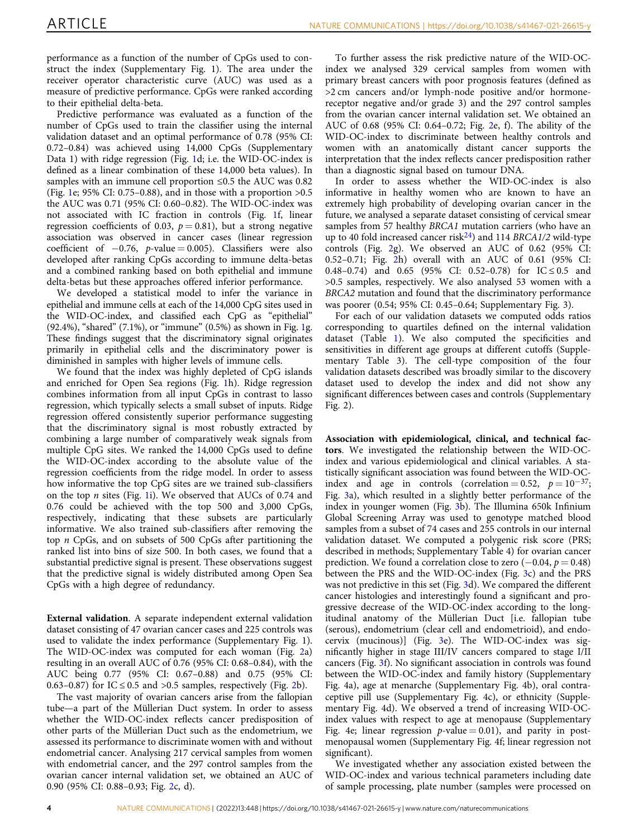performance as a function of the number of CpGs used to construct the index (Supplementary Fig. 1). The area under the receiver operator characteristic curve (AUC) was used as a measure of predictive performance. CpGs were ranked according to their epithelial delta-beta.

Predictive performance was evaluated as a function of the number of CpGs used to train the classifier using the internal validation dataset and an optimal performance of 0.78 (95% CI: 0.72–0.84) was achieved using 14,000 CpGs (Supplementary Data 1) with ridge regression (Fig. [1d](#page-2-0); i.e. the WID-OC-index is defined as a linear combination of these 14,000 beta values). In samples with an immune cell proportion ≤0.5 the AUC was 0.82 (Fig. [1e](#page-2-0); 95% CI: 0.75–0.88), and in those with a proportion >0.5 the AUC was 0.71 (95% CI: 0.60–0.82). The WID-OC-index was not associated with IC fraction in controls (Fig. [1](#page-2-0)f, linear regression coefficients of 0.03,  $p = 0.81$ ), but a strong negative association was observed in cancer cases (linear regression coefficient of  $-0.76$ , *p*-value = 0.005). Classifiers were also developed after ranking CpGs according to immune delta-betas and a combined ranking based on both epithelial and immune delta-betas but these approaches offered inferior performance.

We developed a statistical model to infer the variance in epithelial and immune cells at each of the 14,000 CpG sites used in the WID-OC-index, and classified each CpG as "epithelial" (92.4%), "shared" (7.1%), or "immune" (0.5%) as shown in Fig. [1](#page-2-0)g. These findings suggest that the discriminatory signal originates primarily in epithelial cells and the discriminatory power is diminished in samples with higher levels of immune cells.

We found that the index was highly depleted of CpG islands and enriched for Open Sea regions (Fig. [1](#page-2-0)h). Ridge regression combines information from all input CpGs in contrast to lasso regression, which typically selects a small subset of inputs. Ridge regression offered consistently superior performance suggesting that the discriminatory signal is most robustly extracted by combining a large number of comparatively weak signals from multiple CpG sites. We ranked the 14,000 CpGs used to define the WID-OC-index according to the absolute value of the regression coefficients from the ridge model. In order to assess how informative the top CpG sites are we trained sub-classifiers on the top  $n$  sites (Fig. [1i](#page-2-0)). We observed that AUCs of 0.74 and 0.76 could be achieved with the top 500 and 3,000 CpGs, respectively, indicating that these subsets are particularly informative. We also trained sub-classifiers after removing the top n CpGs, and on subsets of 500 CpGs after partitioning the ranked list into bins of size 500. In both cases, we found that a substantial predictive signal is present. These observations suggest that the predictive signal is widely distributed among Open Sea CpGs with a high degree of redundancy.

External validation. A separate independent external validation dataset consisting of 47 ovarian cancer cases and 225 controls was used to validate the index performance (Supplementary Fig. 1). The WID-OC-index was computed for each woman (Fig. [2](#page-4-0)a) resulting in an overall AUC of 0.76 (95% CI: 0.68–0.84), with the AUC being 0.77 (95% CI: 0.67–0.88) and 0.75 (95% CI: 0.63–0.87) for IC  $\leq$  0.5 and  $>$ 0.5 samples, respectively (Fig. [2b](#page-4-0)).

The vast majority of ovarian cancers arise from the fallopian tube—a part of the Müllerian Duct system. In order to assess whether the WID-OC-index reflects cancer predisposition of other parts of the Müllerian Duct such as the endometrium, we assessed its performance to discriminate women with and without endometrial cancer. Analysing 217 cervical samples from women with endometrial cancer, and the 297 control samples from the ovarian cancer internal validation set, we obtained an AUC of 0.90 (95% CI: 0.88–0.93; Fig. [2](#page-4-0)c, d).

To further assess the risk predictive nature of the WID-OCindex we analysed 329 cervical samples from women with primary breast cancers with poor prognosis features (defined as >2 cm cancers and/or lymph-node positive and/or hormonereceptor negative and/or grade 3) and the 297 control samples from the ovarian cancer internal validation set. We obtained an AUC of 0.68 (95% CI: 0.64–0.72; Fig. [2e](#page-4-0), f). The ability of the WID-OC-index to discriminate between healthy controls and women with an anatomically distant cancer supports the interpretation that the index reflects cancer predisposition rather than a diagnostic signal based on tumour DNA.

In order to assess whether the WID-OC-index is also informative in healthy women who are known to have an extremely high probability of developing ovarian cancer in the future, we analysed a separate dataset consisting of cervical smear samples from 57 healthy BRCA1 mutation carriers (who have an up to 40 fold increased cancer risk<sup>24</sup>) and 114 BRCA1/2 wild-type controls (Fig. [2](#page-4-0)g). We observed an AUC of 0.62 (95% CI: 0.52–0.71; Fig. [2h](#page-4-0)) overall with an AUC of 0.61 (95% CI: 0.48–0.74) and 0.65 (95% CI: 0.52–0.78) for  $IC \le 0.5$  and >0.5 samples, respectively. We also analysed 53 women with a BRCA2 mutation and found that the discriminatory performance was poorer (0.54; 95% CI: 0.45–0.64; Supplementary Fig. 3).

For each of our validation datasets we computed odds ratios corresponding to quartiles defined on the internal validation dataset (Table [1\)](#page-5-0). We also computed the specificities and sensitivities in different age groups at different cutoffs (Supplementary Table 3). The cell-type composition of the four validation datasets described was broadly similar to the discovery dataset used to develop the index and did not show any significant differences between cases and controls (Supplementary Fig. 2).

Association with epidemiological, clinical, and technical factors. We investigated the relationship between the WID-OCindex and various epidemiological and clinical variables. A statistically significant association was found between the WID-OCindex and age in controls (correlation = 0.52,  $p = 10^{-37}$ ; Fig. [3a](#page-6-0)), which resulted in a slightly better performance of the index in younger women (Fig. [3](#page-6-0)b). The Illumina 650k Infinium Global Screening Array was used to genotype matched blood samples from a subset of 74 cases and 255 controls in our internal validation dataset. We computed a polygenic risk score (PRS; described in methods; Supplementary Table 4) for ovarian cancer prediction. We found a correlation close to zero  $(-0.04, p = 0.48)$ between the PRS and the WID-OC-index (Fig. [3c](#page-6-0)) and the PRS was not predictive in this set (Fig. [3](#page-6-0)d). We compared the different cancer histologies and interestingly found a significant and progressive decrease of the WID-OC-index according to the longitudinal anatomy of the Müllerian Duct [i.e. fallopian tube (serous), endometrium (clear cell and endometrioid), and endocervix (mucinous)] (Fig. [3](#page-6-0)e). The WID-OC-index was significantly higher in stage III/IV cancers compared to stage I/II cancers (Fig. [3](#page-6-0)f). No significant association in controls was found between the WID-OC-index and family history (Supplementary Fig. 4a), age at menarche (Supplementary Fig. 4b), oral contraceptive pill use (Supplementary Fig. 4c), or ethnicity (Supplementary Fig. 4d). We observed a trend of increasing WID-OCindex values with respect to age at menopause (Supplementary Fig. 4e; linear regression  $p$ -value = 0.01), and parity in postmenopausal women (Supplementary Fig. 4f; linear regression not significant).

We investigated whether any association existed between the WID-OC-index and various technical parameters including date of sample processing, plate number (samples were processed on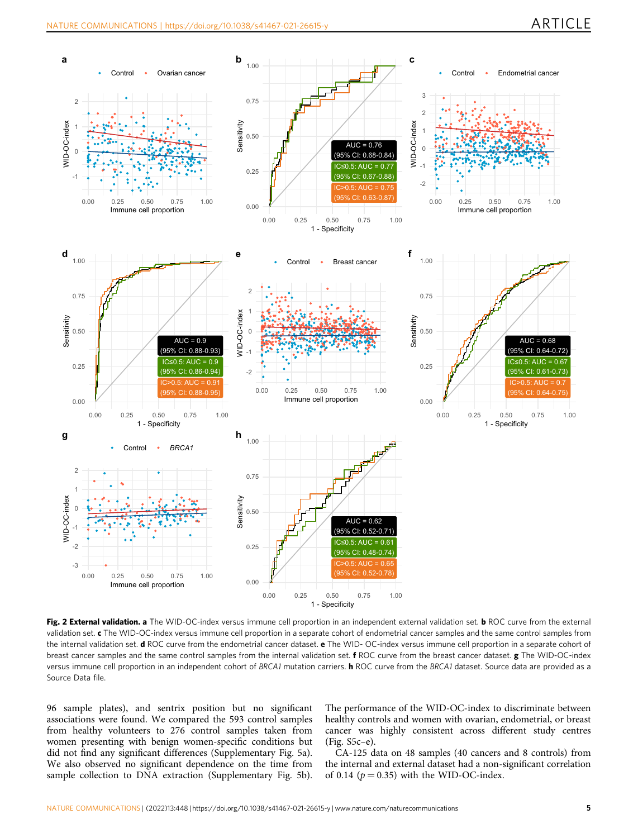<span id="page-4-0"></span>

Fig. 2 External validation. a The WID-OC-index versus immune cell proportion in an independent external validation set. b ROC curve from the external validation set. c The WID-OC-index versus immune cell proportion in a separate cohort of endometrial cancer samples and the same control samples from the internal validation set. d ROC curve from the endometrial cancer dataset. e The WID-OC-index versus immune cell proportion in a separate cohort of breast cancer samples and the same control samples from the internal validation set. f ROC curve from the breast cancer dataset. g The WID-OC-index versus immune cell proportion in an independent cohort of BRCA1 mutation carriers. **h** ROC curve from the BRCA1 dataset. Source data are provided as a Source Data file.

96 sample plates), and sentrix position but no significant associations were found. We compared the 593 control samples from healthy volunteers to 276 control samples taken from women presenting with benign women-specific conditions but did not find any significant differences (Supplementary Fig. 5a). We also observed no significant dependence on the time from sample collection to DNA extraction (Supplementary Fig. 5b).

The performance of the WID-OC-index to discriminate between healthy controls and women with ovarian, endometrial, or breast cancer was highly consistent across different study centres (Fig. S5c–e).

CA-125 data on 48 samples (40 cancers and 8 controls) from the internal and external dataset had a non-significant correlation of 0.14 ( $p = 0.35$ ) with the WID-OC-index.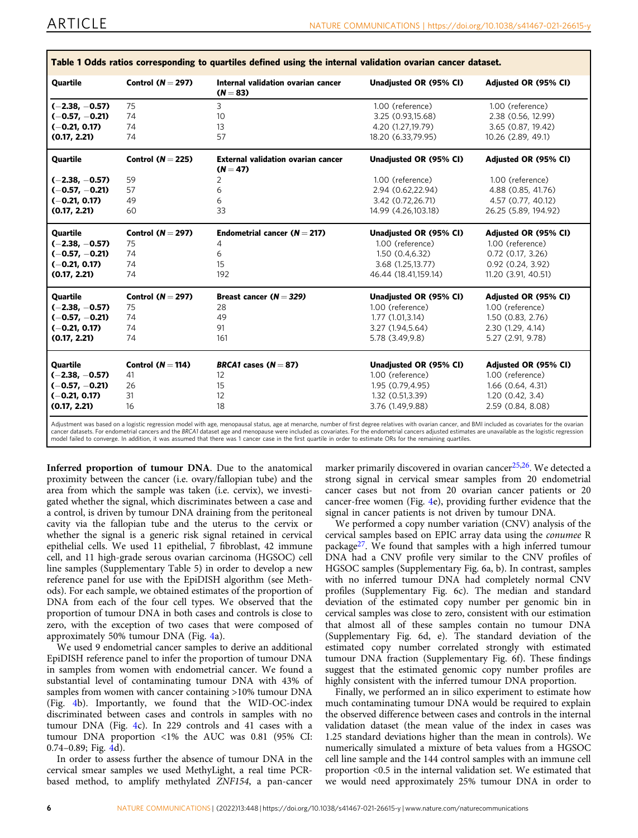<span id="page-5-0"></span>

| Quartile         | Control ( $N = 297$ ) | Internal validation ovarian cancer<br>$(N = 83)$ | Unadjusted OR (95% CI) | Adjusted OR (95% CI) |
|------------------|-----------------------|--------------------------------------------------|------------------------|----------------------|
| $(-2.38, -0.57)$ | 75                    | 3                                                | 1.00 (reference)       | 1.00 (reference)     |
| $(-0.57, -0.21)$ | 74                    | 10                                               | 3.25 (0.93,15.68)      | 2.38 (0.56, 12.99)   |
| $(-0.21, 0.17)$  | 74                    | 13                                               | 4.20 (1.27,19.79)      | 3.65 (0.87, 19.42)   |
| (0.17, 2.21)     | 74                    | 57                                               | 18.20 (6.33,79.95)     | 10.26 (2.89, 49.1)   |
| Quartile         | Control $(N = 225)$   | <b>External validation ovarian cancer</b>        | Unadjusted OR (95% CI) | Adjusted OR (95% CI) |
|                  |                       | $(N = 47)$                                       |                        |                      |
| $(-2.38, -0.57)$ | 59                    | 2                                                | 1.00 (reference)       | 1.00 (reference)     |
| $(-0.57, -0.21)$ | 57                    | 6                                                | 2.94 (0.62,22.94)      | 4.88 (0.85, 41.76)   |
| $(-0.21, 0.17)$  | 49                    | 6                                                | 3.42 (0.72,26.71)      | 4.57 (0.77, 40.12)   |
| (0.17, 2.21)     | 60                    | 33                                               | 14.99 (4.26,103.18)    | 26.25 (5.89, 194.92) |
| <b>Quartile</b>  | Control $(N = 297)$   | Endometrial cancer $(N = 217)$                   | Unadjusted OR (95% CI) | Adjusted OR (95% CI) |
| $(-2.38, -0.57)$ | 75                    | 4                                                | 1.00 (reference)       | 1.00 (reference)     |
| $(-0.57, -0.21)$ | 74                    | 6                                                | 1.50 (0.4,6.32)        | $0.72$ (0.17, 3.26)  |
| $(-0.21, 0.17)$  | 74                    | 15                                               | 3.68 (1.25,13.77)      | 0.92 (0.24, 3.92)    |
| (0.17, 2.21)     | 74                    | 192                                              | 46.44 (18.41,159.14)   | 11.20 (3.91, 40.51)  |
| <b>Quartile</b>  | Control ( $N = 297$ ) | Breast cancer $(N = 329)$                        | Unadjusted OR (95% CI) | Adjusted OR (95% CI) |
| $(-2.38, -0.57)$ | 75                    | 28                                               | 1.00 (reference)       | 1.00 (reference)     |
| $(-0.57, -0.21)$ | 74                    | 49                                               | 1.77 (1.01,3.14)       | 1.50 (0.83, 2.76)    |
| $(-0.21, 0.17)$  | 74                    | 91                                               | 3.27 (1.94,5.64)       | 2.30 (1.29, 4.14)    |
| (0.17, 2.21)     | 74                    | 161                                              | 5.78 (3.49,9.8)        | 5.27 (2.91, 9.78)    |
| Quartile         | Control ( $N = 114$ ) | BRCA1 cases $(N = 87)$                           | Unadjusted OR (95% CI) | Adjusted OR (95% CI) |
| $(-2.38, -0.57)$ | 41                    | 12                                               | 1.00 (reference)       | 1.00 (reference)     |
| $(-0.57, -0.21)$ | 26                    | 15                                               | 1.95 (0.79,4.95)       | 1.66(0.64, 4.31)     |
| $(-0.21, 0.17)$  | 31                    | 12                                               | 1.32 (0.51,3.39)       | 1.20(0.42, 3.4)      |
|                  |                       | 18                                               | 3.76 (1.49,9.88)       | 2.59 (0.84, 8.08)    |

Adjustment was based on a logistic regression model with age, menopausal status, age at menarche, number of first degree relatives with ovarian cancer, and BMI included as covariates for the ovarian cancer datasets. For endometrial cancers and the BRCA1 dataset age and menopause were included as covariates. For the endometrial cancers adjusted estimates are unavailable as the logistic regression model failed to converge. In addition, it was assumed that there was 1 cancer case in the first quartile in order to estimate ORs for the remaining quartiles.

Inferred proportion of tumour DNA. Due to the anatomical proximity between the cancer (i.e. ovary/fallopian tube) and the area from which the sample was taken (i.e. cervix), we investigated whether the signal, which discriminates between a case and a control, is driven by tumour DNA draining from the peritoneal cavity via the fallopian tube and the uterus to the cervix or whether the signal is a generic risk signal retained in cervical epithelial cells. We used 11 epithelial, 7 fibroblast, 42 immune cell, and 11 high-grade serous ovarian carcinoma (HGSOC) cell line samples (Supplementary Table 5) in order to develop a new reference panel for use with the EpiDISH algorithm (see Methods). For each sample, we obtained estimates of the proportion of DNA from each of the four cell types. We observed that the proportion of tumour DNA in both cases and controls is close to zero, with the exception of two cases that were composed of approximately 50% tumour DNA (Fig. [4](#page-7-0)a).

We used 9 endometrial cancer samples to derive an additional EpiDISH reference panel to infer the proportion of tumour DNA in samples from women with endometrial cancer. We found a substantial level of contaminating tumour DNA with 43% of samples from women with cancer containing >10% tumour DNA (Fig. [4](#page-7-0)b). Importantly, we found that the WID-OC-index discriminated between cases and controls in samples with no tumour DNA (Fig. [4c](#page-7-0)). In 229 controls and 41 cases with a tumour DNA proportion <1% the AUC was 0.81 (95% CI: 0.74–0.89; Fig. [4](#page-7-0)d).

In order to assess further the absence of tumour DNA in the cervical smear samples we used MethyLight, a real time PCRbased method, to amplify methylated ZNF154, a pan-cancer marker primarily discovered in ovarian cancer<sup>[25](#page-10-0),[26](#page-10-0)</sup>. We detected a strong signal in cervical smear samples from 20 endometrial cancer cases but not from 20 ovarian cancer patients or 20 cancer-free women (Fig. [4](#page-7-0)e), providing further evidence that the signal in cancer patients is not driven by tumour DNA.

We performed a copy number variation (CNV) analysis of the cervical samples based on EPIC array data using the conumee R package<sup>27</sup>. We found that samples with a high inferred tumour DNA had a CNV profile very similar to the CNV profiles of HGSOC samples (Supplementary Fig. 6a, b). In contrast, samples with no inferred tumour DNA had completely normal CNV profiles (Supplementary Fig. 6c). The median and standard deviation of the estimated copy number per genomic bin in cervical samples was close to zero, consistent with our estimation that almost all of these samples contain no tumour DNA (Supplementary Fig. 6d, e). The standard deviation of the estimated copy number correlated strongly with estimated tumour DNA fraction (Supplementary Fig. 6f). These findings suggest that the estimated genomic copy number profiles are highly consistent with the inferred tumour DNA proportion.

Finally, we performed an in silico experiment to estimate how much contaminating tumour DNA would be required to explain the observed difference between cases and controls in the internal validation dataset (the mean value of the index in cases was 1.25 standard deviations higher than the mean in controls). We numerically simulated a mixture of beta values from a HGSOC cell line sample and the 144 control samples with an immune cell proportion <0.5 in the internal validation set. We estimated that we would need approximately 25% tumour DNA in order to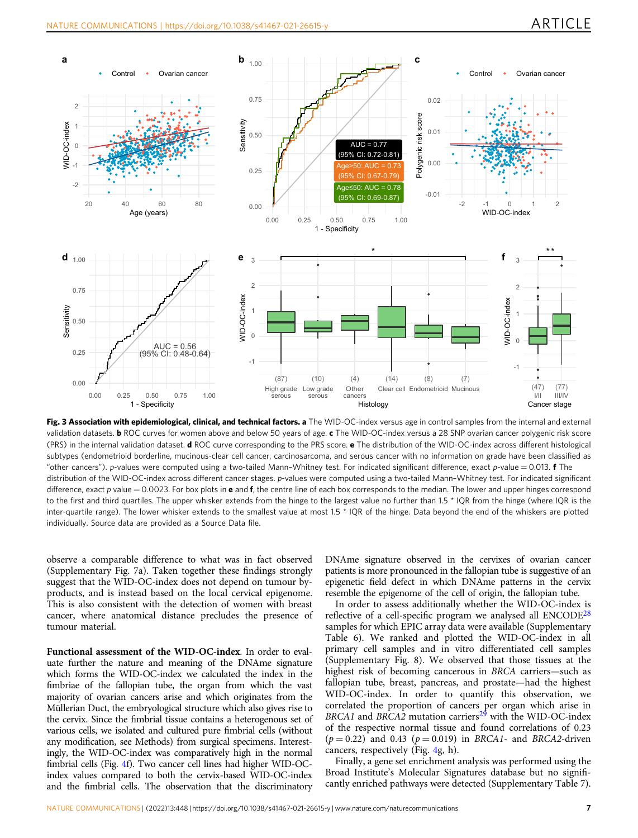<span id="page-6-0"></span>

Fig. 3 Association with epidemiological, clinical, and technical factors. a The WID-OC-index versus age in control samples from the internal and external validation datasets. **b** ROC curves for women above and below 50 years of age. c The WID-OC-index versus a 28 SNP ovarian cancer polygenic risk score (PRS) in the internal validation dataset. d ROC curve corresponding to the PRS score. e The distribution of the WID-OC-index across different histological subtypes (endometrioid borderline, mucinous-clear cell cancer, carcinosarcoma, and serous cancer with no information on grade have been classified as "other cancers"). p-values were computed using a two-tailed Mann–Whitney test. For indicated significant difference, exact p-value = 0.013. f The distribution of the WID-OC-index across different cancer stages. p-values were computed using a two-tailed Mann–Whitney test. For indicated significant difference, exact p value  $= 0.0023$ . For box plots in e and f, the centre line of each box corresponds to the median. The lower and upper hinges correspond to the first and third quartiles. The upper whisker extends from the hinge to the largest value no further than 1.5 \* IQR from the hinge (where IQR is the inter-quartile range). The lower whisker extends to the smallest value at most 1.5 \* IQR of the hinge. Data beyond the end of the whiskers are plotted individually. Source data are provided as a Source Data file.

observe a comparable difference to what was in fact observed (Supplementary Fig. 7a). Taken together these findings strongly suggest that the WID-OC-index does not depend on tumour byproducts, and is instead based on the local cervical epigenome. This is also consistent with the detection of women with breast cancer, where anatomical distance precludes the presence of tumour material.

Functional assessment of the WID-OC-index. In order to evaluate further the nature and meaning of the DNAme signature which forms the WID-OC-index we calculated the index in the fimbriae of the fallopian tube, the organ from which the vast majority of ovarian cancers arise and which originates from the Müllerian Duct, the embryological structure which also gives rise to the cervix. Since the fimbrial tissue contains a heterogenous set of various cells, we isolated and cultured pure fimbrial cells (without any modification, see Methods) from surgical specimens. Interestingly, the WID-OC-index was comparatively high in the normal fimbrial cells (Fig. [4f](#page-7-0)). Two cancer cell lines had higher WID-OCindex values compared to both the cervix-based WID-OC-index and the fimbrial cells. The observation that the discriminatory

DNAme signature observed in the cervixes of ovarian cancer patients is more pronounced in the fallopian tube is suggestive of an epigenetic field defect in which DNAme patterns in the cervix resemble the epigenome of the cell of origin, the fallopian tube.

In order to assess additionally whether the WID-OC-index is reflective of a cell-specific program we analysed all  $ENCODE<sup>28</sup>$  $ENCODE<sup>28</sup>$  $ENCODE<sup>28</sup>$ samples for which EPIC array data were available (Supplementary Table 6). We ranked and plotted the WID-OC-index in all primary cell samples and in vitro differentiated cell samples (Supplementary Fig. 8). We observed that those tissues at the highest risk of becoming cancerous in BRCA carriers—such as fallopian tube, breast, pancreas, and prostate—had the highest WID-OC-index. In order to quantify this observation, we correlated the proportion of cancers per organ which arise in BRCA1 and BRCA2 mutation carriers<sup>[29](#page-11-0)</sup> with the WID-OC-index of the respective normal tissue and found correlations of 0.23  $(p = 0.22)$  and 0.43  $(p = 0.019)$  in BRCA1- and BRCA2-driven cancers, respectively (Fig. [4g](#page-7-0), h).

Finally, a gene set enrichment analysis was performed using the Broad Institute's Molecular Signatures database but no significantly enriched pathways were detected (Supplementary Table 7).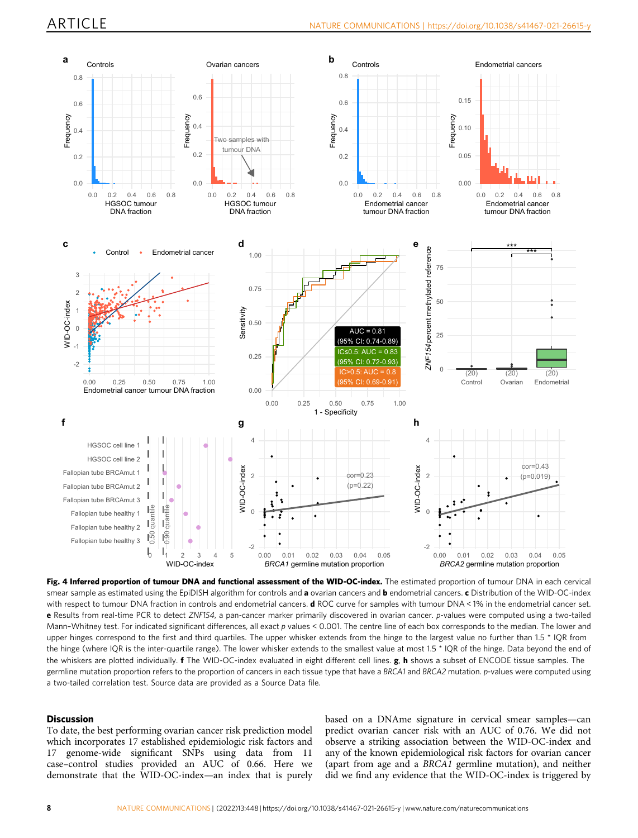<span id="page-7-0"></span>

Fig. 4 Inferred proportion of tumour DNA and functional assessment of the WID-OC-index. The estimated proportion of tumour DNA in each cervical smear sample as estimated using the EpiDISH algorithm for controls and a ovarian cancers and **b** endometrial cancers. c Distribution of the WID-OC-index with respect to tumour DNA fraction in controls and endometrial cancers. d ROC curve for samples with tumour DNA < 1% in the endometrial cancer set. e Results from real-time PCR to detect ZNF154, a pan-cancer marker primarily discovered in ovarian cancer. p-values were computed using a two-tailed Mann-Whitney test. For indicated significant differences, all exact p values < 0.001. The centre line of each box corresponds to the median. The lower and upper hinges correspond to the first and third quartiles. The upper whisker extends from the hinge to the largest value no further than 1.5 \* IQR from the hinge (where IQR is the inter-quartile range). The lower whisker extends to the smallest value at most 1.5 \* IQR of the hinge. Data beyond the end of the whiskers are plotted individually. **f** The WID-OC-index evaluated in eight different cell lines. **g, h** shows a subset of ENCODE tissue samples. The germline mutation proportion refers to the proportion of cancers in each tissue type that have a BRCA1 and BRCA2 mutation. p-values were computed using a two-tailed correlation test. Source data are provided as a Source Data file.

#### Discussion

To date, the best performing ovarian cancer risk prediction model which incorporates 17 established epidemiologic risk factors and 17 genome-wide significant SNPs using data from 11 case–control studies provided an AUC of 0.66. Here we demonstrate that the WID-OC-index—an index that is purely

based on a DNAme signature in cervical smear samples—can predict ovarian cancer risk with an AUC of 0.76. We did not observe a striking association between the WID-OC-index and any of the known epidemiological risk factors for ovarian cancer (apart from age and a BRCA1 germline mutation), and neither did we find any evidence that the WID-OC-index is triggered by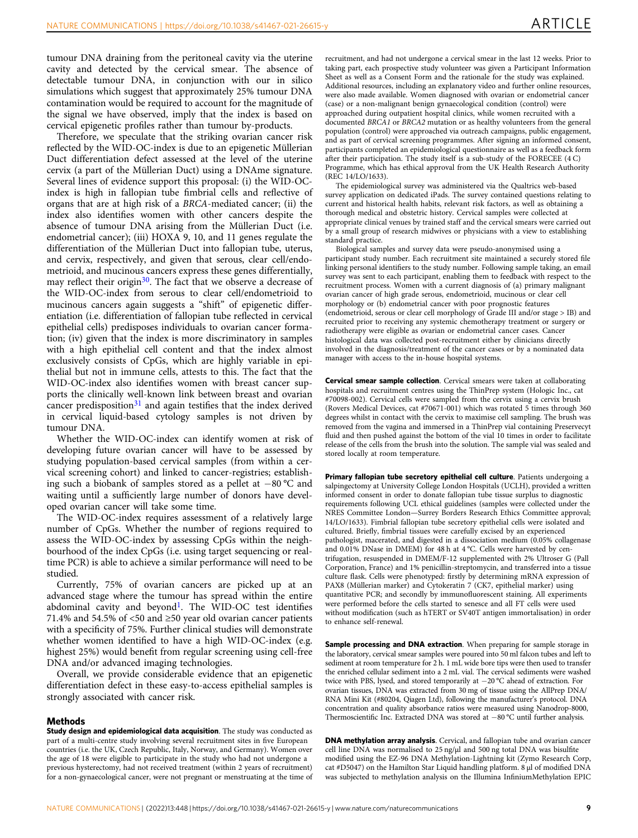tumour DNA draining from the peritoneal cavity via the uterine cavity and detected by the cervical smear. The absence of detectable tumour DNA, in conjunction with our in silico simulations which suggest that approximately 25% tumour DNA contamination would be required to account for the magnitude of the signal we have observed, imply that the index is based on cervical epigenetic profiles rather than tumour by-products.

Therefore, we speculate that the striking ovarian cancer risk reflected by the WID-OC-index is due to an epigenetic Müllerian Duct differentiation defect assessed at the level of the uterine cervix (a part of the Müllerian Duct) using a DNAme signature. Several lines of evidence support this proposal: (i) the WID-OCindex is high in fallopian tube fimbrial cells and reflective of organs that are at high risk of a BRCA-mediated cancer; (ii) the index also identifies women with other cancers despite the absence of tumour DNA arising from the Müllerian Duct (i.e. endometrial cancer); (iii) HOXA 9, 10, and 11 genes regulate the differentiation of the Müllerian Duct into fallopian tube, uterus, and cervix, respectively, and given that serous, clear cell/endometrioid, and mucinous cancers express these genes differentially, may reflect their origin<sup>30</sup>. The fact that we observe a decrease of the WID-OC-index from serous to clear cell/endometrioid to mucinous cancers again suggests a "shift" of epigenetic differentiation (i.e. differentiation of fallopian tube reflected in cervical epithelial cells) predisposes individuals to ovarian cancer formation; (iv) given that the index is more discriminatory in samples with a high epithelial cell content and that the index almost exclusively consists of CpGs, which are highly variable in epithelial but not in immune cells, attests to this. The fact that the WID-OC-index also identifies women with breast cancer supports the clinically well-known link between breast and ovarian cancer predisposition<sup>[31](#page-11-0)</sup> and again testifies that the index derived in cervical liquid-based cytology samples is not driven by tumour DNA.

Whether the WID-OC-index can identify women at risk of developing future ovarian cancer will have to be assessed by studying population-based cervical samples (from within a cervical screening cohort) and linked to cancer-registries; establishing such a biobank of samples stored as a pellet at −80 °C and waiting until a sufficiently large number of donors have developed ovarian cancer will take some time.

The WID-OC-index requires assessment of a relatively large number of CpGs. Whether the number of regions required to assess the WID-OC-index by assessing CpGs within the neighbourhood of the index CpGs (i.e. using target sequencing or realtime PCR) is able to achieve a similar performance will need to be studied.

Currently, 75% of ovarian cancers are picked up at an advanced stage where the tumour has spread within the entire abdominal cavity and beyond<sup>1</sup>. The WID-OC test identifies 71.4% and 54.5% of <50 and ≥50 year old ovarian cancer patients with a specificity of 75%. Further clinical studies will demonstrate whether women identified to have a high WID-OC-index (e.g. highest 25%) would benefit from regular screening using cell-free DNA and/or advanced imaging technologies.

Overall, we provide considerable evidence that an epigenetic differentiation defect in these easy-to-access epithelial samples is strongly associated with cancer risk.

#### Methods

Study design and epidemiological data acquisition. The study was conducted as part of a multi-centre study involving several recruitment sites in five European countries (i.e. the UK, Czech Republic, Italy, Norway, and Germany). Women over the age of 18 were eligible to participate in the study who had not undergone a previous hysterectomy, had not received treatment (within 2 years of recruitment) for a non-gynaecological cancer, were not pregnant or menstruating at the time of recruitment, and had not undergone a cervical smear in the last 12 weeks. Prior to taking part, each prospective study volunteer was given a Participant Information Sheet as well as a Consent Form and the rationale for the study was explained. Additional resources, including an explanatory video and further online resources, were also made available. Women diagnosed with ovarian or endometrial cancer (case) or a non-malignant benign gynaecological condition (control) were approached during outpatient hospital clinics, while women recruited with a documented BRCA1 or BRCA2 mutation or as healthy volunteers from the general population (control) were approached via outreach campaigns, public engagement, and as part of cervical screening programmes. After signing an informed consent, participants completed an epidemiological questionnaire as well as a feedback form after their participation. The study itself is a sub-study of the FORECEE (4 C) Programme, which has ethical approval from the UK Health Research Authority (REC 14/LO/1633).

The epidemiological survey was administered via the Qualtrics web-based survey application on dedicated iPads. The survey contained questions relating to current and historical health habits, relevant risk factors, as well as obtaining a thorough medical and obstetric history. Cervical samples were collected at appropriate clinical venues by trained staff and the cervical smears were carried out by a small group of research midwives or physicians with a view to establishing standard practice.

Biological samples and survey data were pseudo-anonymised using a participant study number. Each recruitment site maintained a securely stored file linking personal identifiers to the study number. Following sample taking, an email survey was sent to each participant, enabling them to feedback with respect to the recruitment process. Women with a current diagnosis of (a) primary malignant ovarian cancer of high grade serous, endometrioid, mucinous or clear cell morphology or (b) endometrial cancer with poor prognostic features (endometrioid, serous or clear cell morphology of Grade III and/or stage > IB) and recruited prior to receiving any systemic chemotherapy treatment or surgery or radiotherapy were eligible as ovarian or endometrial cancer cases. Cancer histological data was collected post-recruitment either by clinicians directly involved in the diagnosis/treatment of the cancer cases or by a nominated data manager with access to the in-house hospital systems.

Cervical smear sample collection. Cervical smears were taken at collaborating hospitals and recruitment centres using the ThinPrep system (Hologic Inc., cat #70098-002). Cervical cells were sampled from the cervix using a cervix brush (Rovers Medical Devices, cat #70671-001) which was rotated 5 times through 360 degrees whilst in contact with the cervix to maximise cell sampling. The brush was removed from the vagina and immersed in a ThinPrep vial containing Preservecyt fluid and then pushed against the bottom of the vial 10 times in order to facilitate release of the cells from the brush into the solution. The sample vial was sealed and stored locally at room temperature.

Primary fallopian tube secretory epithelial cell culture. Patients undergoing a salpingectomy at University College London Hospitals (UCLH), provided a written informed consent in order to donate fallopian tube tissue surplus to diagnostic requirements following UCL ethical guidelines (samples were collected under the NRES Committee London—Surrey Borders Research Ethics Committee approval; 14/LO/1633). Fimbrial fallopian tube secretory epithelial cells were isolated and cultured. Briefly, fimbrial tissues were carefully excised by an experienced pathologist, macerated, and digested in a dissociation medium (0.05% collagenase and 0.01% DNase in DMEM) for 48 h at 4 °C. Cells were harvested by centrifugation, resuspended in DMEM/F-12 supplemented with 2% Ultroser G (Pall Corporation, France) and 1% penicillin-streptomycin, and transferred into a tissue culture flask. Cells were phenotyped: firstly by determining mRNA expression of PAX8 (Müllerian marker) and Cytokeratin 7 (CK7, epithelial marker) using quantitative PCR; and secondly by immunofluorescent staining. All experiments were performed before the cells started to senesce and all FT cells were used without modification (such as hTERT or SV40T antigen immortalisation) in order to enhance self-renewal.

Sample processing and DNA extraction. When preparing for sample storage in the laboratory, cervical smear samples were poured into 50 ml falcon tubes and left to sediment at room temperature for 2 h. 1 mL wide bore tips were then used to transfer the enriched cellular sediment into a 2 mL vial. The cervical sediments were washed twice with PBS, lysed, and stored temporarily at −20 °C ahead of extraction. For ovarian tissues, DNA was extracted from 30 mg of tissue using the AllPrep DNA/ RNA Mini Kit (#80204, Qiagen Ltd), following the manufacturer's protocol. DNA concentration and quality absorbance ratios were measured using Nanodrop-8000, Thermoscientific Inc. Extracted DNA was stored at −80 °C until further analysis.

DNA methylation array analysis. Cervical, and fallopian tube and ovarian cancer cell line DNA was normalised to  $25$  ng/ $\mu$ l and 500 ng total DNA was bisulfite modified using the EZ-96 DNA Methylation-Lightning kit (Zymo Research Corp, cat #D5047) on the Hamilton Star Liquid handling platform. 8 µl of modified DNA was subjected to methylation analysis on the Illumina InfiniumMethylation EPIC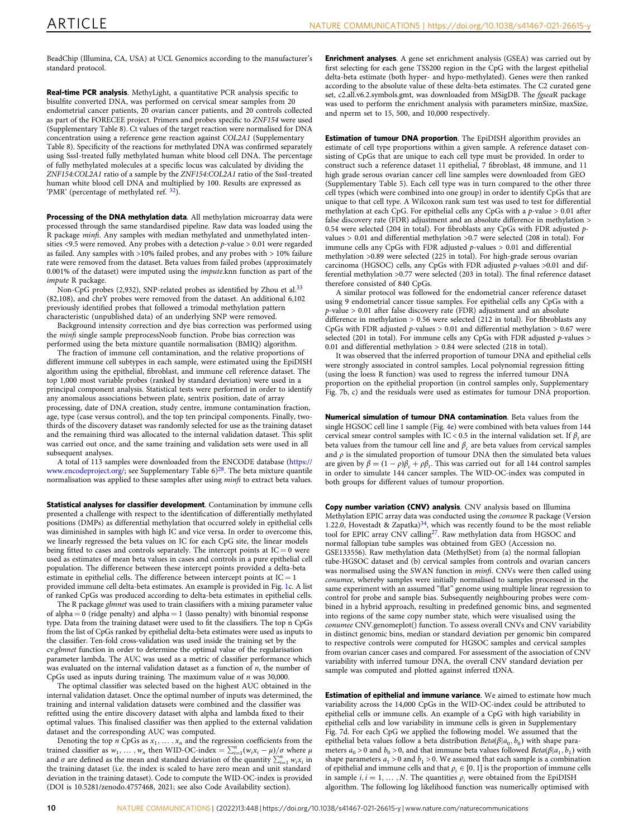BeadChip (Illumina, CA, USA) at UCL Genomics according to the manufacturer's standard protocol.

Real-time PCR analysis. MethyLight, a quantitative PCR analysis specific to bisulfite converted DNA, was performed on cervical smear samples from 20 endometrial cancer patients, 20 ovarian cancer patients, and 20 controls collected as part of the FORECEE project. Primers and probes specific to ZNF154 were used (Supplementary Table 8). Ct values of the target reaction were normalised for DNA concentration using a reference gene reaction against COL2A1 (Supplementary Table 8). Specificity of the reactions for methylated DNA was confirmed separately using SssI‐treated fully methylated human white blood cell DNA. The percentage of fully methylated molecules at a specific locus was calculated by dividing the ZNF154:COL2A1 ratio of a sample by the ZNF154:COL2A1 ratio of the SssI-treated human white blood cell DNA and multiplied by 100. Results are expressed as 'PMR' (percentage of methylated ref. [32\)](#page-11-0).

Processing of the DNA methylation data. All methylation microarray data were processed through the same standardised pipeline. Raw data was loaded using the R package *minfi*. Any samples with median methylated and unmethylated intensities <9.5 were removed. Any probes with a detection  $p$ -value > 0.01 were regarded as failed. Any samples with >10% failed probes, and any probes with > 10% failure rate were removed from the dataset. Beta values from failed probes (approximately 0.001% of the dataset) were imputed using the impute.knn function as part of the impute R package.

Non-CpG probes (2,932), SNP-related probes as identified by Zhou et al.<sup>[33](#page-11-0)</sup> (82,108), and chrY probes were removed from the dataset. An additional 6,102 previously identified probes that followed a trimodal methylation pattern characteristic (unpublished data) of an underlying SNP were removed.

Background intensity correction and dye bias correction was performed using the minfi single sample preprocessNoob function. Probe bias correction was performed using the beta mixture quantile normalisation (BMIQ) algorithm.

The fraction of immune cell contamination, and the relative proportions of different immune cell subtypes in each sample, were estimated using the EpiDISH algorithm using the epithelial, fibroblast, and immune cell reference dataset. The top 1,000 most variable probes (ranked by standard deviation) were used in a principal component analysis. Statistical tests were performed in order to identify any anomalous associations between plate, sentrix position, date of array processing, date of DNA creation, study centre, immune contamination fraction, age, type (case versus control), and the top ten principal components. Finally, twothirds of the discovery dataset was randomly selected for use as the training dataset and the remaining third was allocated to the internal validation dataset. This split was carried out once, and the same training and validation sets were used in all subsequent analyses.

A total of 113 samples were downloaded from the ENCODE database [\(https://](https://www.encodeproject.org/) [www.encodeproject.org/](https://www.encodeproject.org/); see Supplementary Table 6)<sup>[28](#page-11-0)</sup>. The beta mixture quantile normalisation was applied to these samples after using minfi to extract beta values.

Statistical analyses for classifier development. Contamination by immune cells presented a challenge with respect to the identification of differentially methylated positions (DMPs) as differential methylation that occurred solely in epithelial cells was diminished in samples with high IC and vice versa. In order to overcome this, we linearly regressed the beta values on IC for each CpG site, the linear models being fitted to cases and controls separately. The intercept points at  $IC = 0$  were used as estimates of mean beta values in cases and controls in a pure epithelial cell population. The difference between these intercept points provided a delta-beta estimate in epithelial cells. The difference between intercept points at  $IC = 1$ provided immune cell delta-beta estimates. An example is provided in Fig. [1](#page-2-0)c. A list of ranked CpGs was produced according to delta-beta estimates in epithelial cells.

The R package glmnet was used to train classifiers with a mixing parameter value of alpha  $= 0$  (ridge penalty) and alpha  $= 1$  (lasso penalty) with binomial response type. Data from the training dataset were used to fit the classifiers. The top n CpGs from the list of CpGs ranked by epithelial delta-beta estimates were used as inputs to the classifier. Ten-fold cross-validation was used inside the training set by the cv.glmnet function in order to determine the optimal value of the regularisation parameter lambda. The AUC was used as a metric of classifier performance which was evaluated on the internal validation dataset as a function of  $n$ , the number of CpGs used as inputs during training. The maximum value of n was 30,000.

The optimal classifier was selected based on the highest AUC obtained in the internal validation dataset. Once the optimal number of inputs was determined, the training and internal validation datasets were combined and the classifier was refitted using the entire discovery dataset with alpha and lambda fixed to their optimal values. This finalised classifier was then applied to the external validation dataset and the corresponding AUC was computed.

Denoting the top n CpGs as  $x_1, \ldots, x_n$  and the regression coefficients from the trained classifier as  $w_1, \ldots, w_n$  then WID-OC-index =  $\sum_{i=1}^n (w_i x_i - \mu)/\sigma$  where  $\mu$ and  $\sigma$  are defined as the mean and standard deviation of the quantity  $\sum_{i=1}^{n} w_i x_i$  in the training dataset (i.e. the index is scaled to have zero mean and unit standard deviation in the training dataset). Code to compute the WID-OC-index is provided (DOI is 10.5281/zenodo.4757468, 2021; see also Code Availability section).

Enrichment analyses. A gene set enrichment analysis (GSEA) was carried out by first selecting for each gene TSS200 region in the CpG with the largest epithelial delta-beta estimate (both hyper- and hypo-methylated). Genes were then ranked according to the absolute value of these delta-beta estimates. The C2 curated gene set, c2.all.v6.2.symbols.gmt, was downloaded from MSigDB. The fgseaR package was used to perform the enrichment analysis with parameters minSize, maxSize, and nperm set to 15, 500, and 10,000 respectively.

Estimation of tumour DNA proportion. The EpiDISH algorithm provides an estimate of cell type proportions within a given sample. A reference dataset consisting of CpGs that are unique to each cell type must be provided. In order to construct such a reference dataset 11 epithelial, 7 fibroblast, 48 immune, and 11 high grade serous ovarian cancer cell line samples were downloaded from GEO (Supplementary Table 5). Each cell type was in turn compared to the other three cell types (which were combined into one group) in order to identify CpGs that are unique to that cell type. A Wilcoxon rank sum test was used to test for differential methylation at each CpG. For epithelial cells any CpGs with a p-value > 0.01 after false discovery rate (FDR) adjustment and an absolute difference in methylation > 0.54 were selected (204 in total). For fibroblasts any CpGs with FDR adjusted pvalues > 0.01 and differential methylation >0.7 were selected (208 in total). For immune cells any CpGs with FDR adjusted p-values > 0.01 and differential methylation >0.89 were selected (225 in total). For high-grade serous ovarian carcinoma (HGSOC) cells, any CpGs with FDR adjusted p-values >0.01 and differential methylation >0.77 were selected (203 in total). The final reference dataset therefore consisted of 840 CpGs.

A similar protocol was followed for the endometrial cancer reference dataset using 9 endometrial cancer tissue samples. For epithelial cells any CpGs with a  $p$ -value > 0.01 after false discovery rate (FDR) adjustment and an absolute difference in methylation > 0.56 were selected (212 in total). For fibroblasts any CpGs with FDR adjusted  $p$ -values  $> 0.01$  and differential methylation  $> 0.67$  were selected (201 in total). For immune cells any CpGs with FDR adjusted p-values > 0.01 and differential methylation > 0.84 were selected (218 in total).

It was observed that the inferred proportion of tumour DNA and epithelial cells were strongly associated in control samples. Local polynomial regression fitting (using the loess R function) was used to regress the inferred tumour DNA proportion on the epithelial proportion (in control samples only, Supplementary Fig. 7b, c) and the residuals were used as estimates for tumour DNA proportion.

Numerical simulation of tumour DNA contamination. Beta values from the single HGSOC cell line 1 sample (Fig. [4e](#page-7-0)) were combined with beta values from 144 cervical smear control samples with IC < 0.5 in the internal validation set. If  $\beta_t$  are beta values from the tumour cell line and  $\beta_c$  are beta values from cervical samples and  $\rho$  is the simulated proportion of tumour DNA then the simulated beta values are given by  $\beta = (1 - \rho)\beta_c + \rho\beta_t$ . This was carried out for all 144 control samples in order to simulate 144 cancer samples. The WID-OC-index was computed in both groups for different values of tumour proportion.

Copy number variation (CNV) analysis. CNV analysis based on Illumina Methylation EPIC array data was conducted using the conumee R package (Version 1.22.0, Hovestadt & Zapatka) $34$ , which was recently found to be the most reliable tool for EPIC array CNV calling<sup>[27](#page-10-0)</sup>. Raw methylation data from HGSOC and normal fallopian tube samples was obtained from GEO (Accession no. GSE133556). Raw methylation data (MethylSet) from (a) the normal fallopian tube-HGSOC dataset and (b) cervical samples from controls and ovarian cancers was normalised using the SWAN function in minfi. CNVs were then called using conumee, whereby samples were initially normalised to samples processed in the same experiment with an assumed "flat" genome using multiple linear regression to control for probe and sample bias. Subsequently neighbouring probes were combined in a hybrid approach, resulting in predefined genomic bins, and segmented into regions of the same copy number state, which were visualised using the conumee CNV.genomeplot() function. To assess overall CNVs and CNV variability in distinct genomic bins, median or standard deviation per genomic bin compared to respective controls were computed for HGSOC samples and cervical samples from ovarian cancer cases and compared. For assessment of the association of CNV variability with inferred tumour DNA, the overall CNV standard deviation per sample was computed and plotted against inferred tDNA.

**Estimation of epithelial and immune variance**. We aimed to estimate how much variability across the 14,000 CpGs in the WID-OC-index could be attributed to epithelial cells or immune cells. An example of a CpG with high variability in epithelial cells and low variability in immune cells is given in Supplementary Fig. 7d. For each CpG we applied the following model. We assumed that the epithelial beta values follow a beta distribution  $Beta(\beta|a_0, b_0)$  with shape parameters  $a_0 > 0$  and  $b_0 > 0$ , and that immune beta values followed  $Beta(\beta|a_1, b_1)$  with shape parameters  $a_1 > 0$  and  $b_1 > 0$ . We assumed that each sample is a combination of epithelial and immune cells and that  $\rho_i \in [0, 1]$  is the proportion of immune cells in sample  $i, i = 1, ..., N$ . The quantities  $\rho_i$  were obtained from the EpiDISH algorithm. The following log likelihood function was numerically optimised with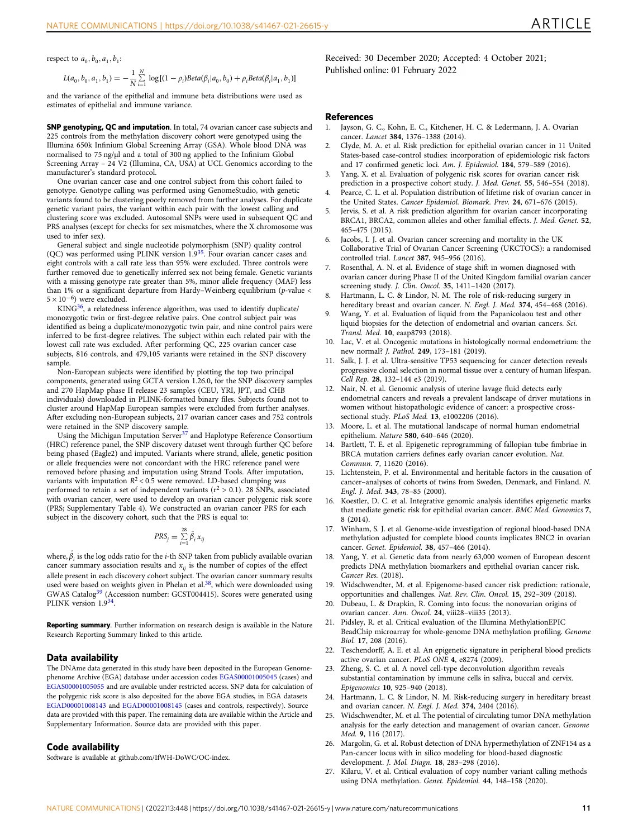<span id="page-10-0"></span>respect to  $a_0$ ,  $b_0$ ,  $a_1$ ,  $b_1$ :

$$
L(a_0, b_0, a_1, b_1) = -\frac{1}{N} \sum_{i=1}^{N} \log[(1 - \rho_i) Beta(\beta_i | a_0, b_0) + \rho_i Beta(\beta_i | a_1, b_1)]
$$

and the variance of the epithelial and immune beta distributions were used as estimates of epithelial and immune variance.

SNP genotyping, QC and imputation. In total, 74 ovarian cancer case subjects and 225 controls from the methylation discovery cohort were genotyped using the Illumina 650k Infinium Global Screening Array (GSA). Whole blood DNA was normalised to 75 ng/ $\mu$ l and a total of 300 ng applied to the Infinium Global Screening Array – 24 V2 (Illumina, CA, USA) at UCL Genomics according to the manufacturer's standard protocol.

One ovarian cancer case and one control subject from this cohort failed to genotype. Genotype calling was performed using GenomeStudio, with genetic variants found to be clustering poorly removed from further analyses. For duplicate genetic variant pairs, the variant within each pair with the lowest calling and clustering score was excluded. Autosomal SNPs were used in subsequent QC and PRS analyses (except for checks for sex mismatches, where the X chromosome was used to infer sex).

General subject and single nucleotide polymorphism (SNP) quality control (QC) was performed using PLINK version 1.[935](#page-11-0). Four ovarian cancer cases and eight controls with a call rate less than 95% were excluded. Three controls were further removed due to genetically inferred sex not being female. Genetic variants with a missing genotype rate greater than 5%, minor allele frequency (MAF) less than 1% or a significant departure from Hardy–Weinberg equilibrium (p-value <  $5 \times 10^{-6}$ ) were excluded.

 $KING<sup>36</sup>$ , a relatedness inference algorithm, was used to identify duplicate/ monozygotic twin or first-degree relative pairs. One control subject pair was identified as being a duplicate/monozygotic twin pair, and nine control pairs were inferred to be first-degree relatives. The subject within each related pair with the lowest call rate was excluded. After performing QC, 225 ovarian cancer case subjects, 816 controls, and 479,105 variants were retained in the SNP discovery sample.

Non-European subjects were identified by plotting the top two principal components, generated using GCTA version 1.26.0, for the SNP discovery samples and 270 HapMap phase II release 23 samples (CEU, YRI, JPT, and CHB individuals) downloaded in PLINK-formatted binary files. Subjects found not to cluster around HapMap European samples were excluded from further analyses. After excluding non-European subjects, 217 ovarian cancer cases and 752 controls were retained in the SNP discovery sample.

Using the Michigan Imputation Server<sup>[37](#page-11-0)</sup> and Haplotype Reference Consortium (HRC) reference panel, the SNP discovery dataset went through further QC before being phased (Eagle2) and imputed. Variants where strand, allele, genetic position or allele frequencies were not concordant with the HRC reference panel were removed before phasing and imputation using Strand Tools. After imputation, variants with imputation  $R^2 < 0.5$  were removed. LD-based clumping was performed to retain a set of independent variants ( $r^2 > 0.1$ ). 28 SNPs, associated with ovarian cancer, were used to develop an ovarian cancer polygenic risk score (PRS; Supplementary Table 4). We constructed an ovarian cancer PRS for each subject in the discovery cohort, such that the PRS is equal to:

$$
PRS_j = \sum_{i=1}^{28} \hat{\beta}_i x_{ij}
$$

where,  $\hat{\beta_i}$  is the log odds ratio for the *i*-th SNP taken from publicly available ovarian cancer summary association results and  $x_{ij}$  is the number of copies of the effect allele present in each discovery cohort subject. The ovarian cancer summary results used were based on weights given in Phelan et al.<sup>38</sup>, which were downloaded using GWAS Catalog<sup>[39](#page-11-0)</sup> (Accession number: GCST004415). Scores were generated using PLINK version  $1.9^{34}$ .

Reporting summary. Further information on research design is available in the Nature Research Reporting Summary linked to this article.

#### Data availability

The DNAme data generated in this study have been deposited in the European Genomephenome Archive (EGA) database under accession codes [EGAS00001005045](https://ega-archive.org/studies/EGAS00001005045) (cases) and [EGAS00001005055](https://ega-archive.org/studies/EGAS00001005055) and are available under restricted access. SNP data for calculation of the polygenic risk score is also deposited for the above EGA studies, in EGA datasets [EGAD00001008143](https://ega-archive.org/datasets/EGAD00001008143) and [EGAD00001008145](https://ega-archive.org/datasets/EGAD00001008145) (cases and controls, respectively). Source data are provided with this paper. The remaining data are available within the Article and Supplementary Information. Source data are provided with this paper.

#### Code availability

Software is available at github.com/IfWH-DoWC/OC-index.

Received: 30 December 2020; Accepted: 4 October 2021; Published online: 01 February 2022

#### References

- Jayson, G. C., Kohn, E. C., Kitchener, H. C. & Ledermann, J. A. Ovarian cancer. Lancet 384, 1376–1388 (2014).
- 2. Clyde, M. A. et al. Risk prediction for epithelial ovarian cancer in 11 United States-based case-control studies: incorporation of epidemiologic risk factors and 17 confirmed genetic loci. Am. J. Epidemiol. 184, 579–589 (2016).
- 3. Yang, X. et al. Evaluation of polygenic risk scores for ovarian cancer risk prediction in a prospective cohort study. J. Med. Genet. 55, 546–554 (2018).
- Pearce, C. L. et al. Population distribution of lifetime risk of ovarian cancer in the United States. Cancer Epidemiol. Biomark. Prev. 24, 671–676 (2015).
- 5. Jervis, S. et al. A risk prediction algorithm for ovarian cancer incorporating BRCA1, BRCA2, common alleles and other familial effects. J. Med. Genet. 52, 465–475 (2015).
- Jacobs, I. J. et al. Ovarian cancer screening and mortality in the UK Collaborative Trial of Ovarian Cancer Screening (UKCTOCS): a randomised controlled trial. Lancet 387, 945–956 (2016).
- 7. Rosenthal, A. N. et al. Evidence of stage shift in women diagnosed with ovarian cancer during Phase II of the United Kingdom familial ovarian cancer screening study. J. Clin. Oncol. 35, 1411–1420 (2017).
- 8. Hartmann, L. C. & Lindor, N. M. The role of risk-reducing surgery in hereditary breast and ovarian cancer. N. Engl. J. Med. 374, 454–468 (2016).
- 9. Wang, Y. et al. Evaluation of liquid from the Papanicolaou test and other liquid biopsies for the detection of endometrial and ovarian cancers. Sci. Transl. Med. 10, eaap8793 (2018).
- 10. Lac, V. et al. Oncogenic mutations in histologically normal endometrium: the new normal? J. Pathol. 249, 173–181 (2019).
- 11. Salk, J. J. et al. Ultra-sensitive TP53 sequencing for cancer detection reveals progressive clonal selection in normal tissue over a century of human lifespan. Cell Rep. 28, 132–144 e3 (2019).
- 12. Nair, N. et al. Genomic analysis of uterine lavage fluid detects early endometrial cancers and reveals a prevalent landscape of driver mutations in women without histopathologic evidence of cancer: a prospective crosssectional study. PLoS Med. 13, e1002206 (2016).
- 13. Moore, L. et al. The mutational landscape of normal human endometrial epithelium. Nature 580, 640–646 (2020).
- 14. Bartlett, T. E. et al. Epigenetic reprogramming of fallopian tube fimbriae in BRCA mutation carriers defines early ovarian cancer evolution. Nat. Commun. 7, 11620 (2016).
- 15. Lichtenstein, P. et al. Environmental and heritable factors in the causation of cancer–analyses of cohorts of twins from Sweden, Denmark, and Finland. N. Engl. J. Med. 343, 78–85 (2000).
- 16. Koestler, D. C. et al. Integrative genomic analysis identifies epigenetic marks that mediate genetic risk for epithelial ovarian cancer. BMC Med. Genomics 7, 8 (2014).
- 17. Winham, S. J. et al. Genome-wide investigation of regional blood-based DNA methylation adjusted for complete blood counts implicates BNC2 in ovarian cancer. Genet. Epidemiol. 38, 457–466 (2014).
- 18. Yang, Y. et al. Genetic data from nearly 63,000 women of European descent predicts DNA methylation biomarkers and epithelial ovarian cancer risk. Cancer Res. (2018).
- 19. Widschwendter, M. et al. Epigenome-based cancer risk prediction: rationale, opportunities and challenges. Nat. Rev. Clin. Oncol. 15, 292–309 (2018).
- 20. Dubeau, L. & Drapkin, R. Coming into focus: the nonovarian origins of ovarian cancer. Ann. Oncol. 24, viii28–viii35 (2013).
- 21. Pidsley, R. et al. Critical evaluation of the Illumina MethylationEPIC BeadChip microarray for whole-genome DNA methylation profiling. Genome Biol. 17, 208 (2016).
- 22. Teschendorff, A. E. et al. An epigenetic signature in peripheral blood predicts active ovarian cancer. PLoS ONE 4, e8274 (2009).
- 23. Zheng, S. C. et al. A novel cell-type deconvolution algorithm reveals substantial contamination by immune cells in saliva, buccal and cervix. Epigenomics 10, 925–940 (2018).
- 24. Hartmann, L. C. & Lindor, N. M. Risk-reducing surgery in hereditary breast and ovarian cancer. N. Engl. J. Med. 374, 2404 (2016).
- 25. Widschwendter, M. et al. The potential of circulating tumor DNA methylation analysis for the early detection and management of ovarian cancer. Genome Med. 9, 116 (2017).
- 26. Margolin, G. et al. Robust detection of DNA hypermethylation of ZNF154 as a Pan-cancer locus with in silico modeling for blood-based diagnostic development. J. Mol. Diagn. 18, 283–298 (2016).
- 27. Kilaru, V. et al. Critical evaluation of copy number variant calling methods using DNA methylation. Genet. Epidemiol. 44, 148–158 (2020).